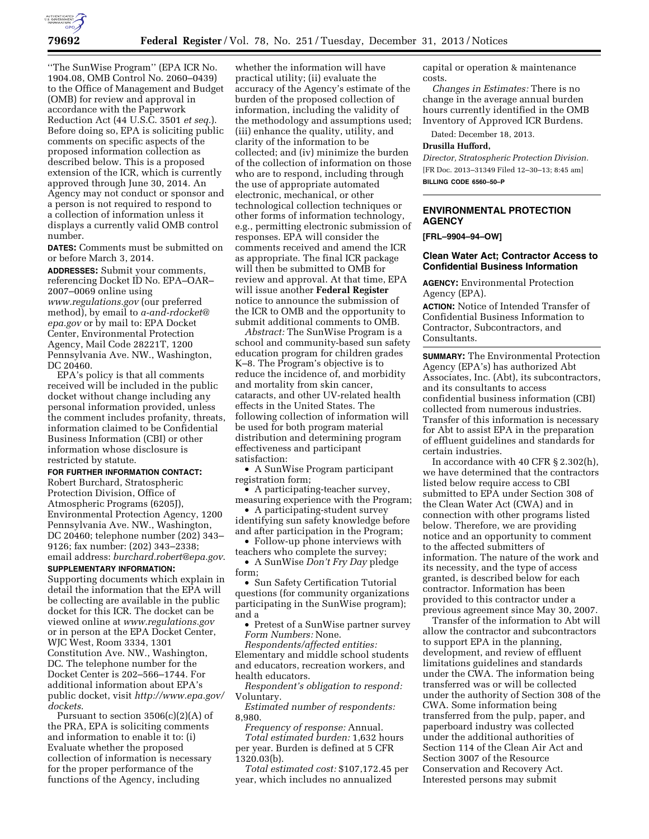

''The SunWise Program'' (EPA ICR No. 1904.08, OMB Control No. 2060–0439) to the Office of Management and Budget (OMB) for review and approval in accordance with the Paperwork Reduction Act (44 U.S.C. 3501 *et seq.*). Before doing so, EPA is soliciting public comments on specific aspects of the proposed information collection as described below. This is a proposed extension of the ICR, which is currently approved through June 30, 2014. An Agency may not conduct or sponsor and a person is not required to respond to a collection of information unless it displays a currently valid OMB control number.

**DATES:** Comments must be submitted on or before March 3, 2014.

**ADDRESSES:** Submit your comments, referencing Docket ID No. EPA–OAR– 2007–0069 online using *[www.regulations.gov](http://www.regulations.gov)* (our preferred method), by email to *[a-and-rdocket@](mailto:a-and-rdocket@epa.gov) [epa.gov](mailto:a-and-rdocket@epa.gov)* or by mail to: EPA Docket Center, Environmental Protection Agency, Mail Code 28221T, 1200 Pennsylvania Ave. NW., Washington, DC 20460.

EPA's policy is that all comments received will be included in the public docket without change including any personal information provided, unless the comment includes profanity, threats, information claimed to be Confidential Business Information (CBI) or other information whose disclosure is restricted by statute.

### **FOR FURTHER INFORMATION CONTACT:**

Robert Burchard, Stratospheric Protection Division, Office of Atmospheric Programs (6205J), Environmental Protection Agency, 1200 Pennsylvania Ave. NW., Washington, DC 20460; telephone number (202) 343– 9126; fax number: (202) 343–2338; email address: *[burchard.robert@epa.gov](mailto:burchard.robert@epa.gov)*.

## **SUPPLEMENTARY INFORMATION:**

Supporting documents which explain in detail the information that the EPA will be collecting are available in the public docket for this ICR. The docket can be viewed online at *[www.regulations.gov](http://www.regulations.gov)*  or in person at the EPA Docket Center, WJC West, Room 3334, 1301 Constitution Ave. NW., Washington, DC. The telephone number for the Docket Center is 202–566–1744. For additional information about EPA's public docket, visit *[http://www.epa.gov/](http://www.epa.gov/dockets)  [dockets](http://www.epa.gov/dockets)*.

Pursuant to section  $3506(c)(2)(A)$  of the PRA, EPA is soliciting comments and information to enable it to: (i) Evaluate whether the proposed collection of information is necessary for the proper performance of the functions of the Agency, including

whether the information will have practical utility; (ii) evaluate the accuracy of the Agency's estimate of the burden of the proposed collection of information, including the validity of the methodology and assumptions used; (iii) enhance the quality, utility, and clarity of the information to be collected; and (iv) minimize the burden of the collection of information on those who are to respond, including through the use of appropriate automated electronic, mechanical, or other technological collection techniques or other forms of information technology, e.g., permitting electronic submission of responses. EPA will consider the comments received and amend the ICR as appropriate. The final ICR package will then be submitted to OMB for review and approval. At that time, EPA will issue another **Federal Register**  notice to announce the submission of the ICR to OMB and the opportunity to submit additional comments to OMB.

*Abstract:* The SunWise Program is a school and community-based sun safety education program for children grades K–8. The Program's objective is to reduce the incidence of, and morbidity and mortality from skin cancer, cataracts, and other UV-related health effects in the United States. The following collection of information will be used for both program material distribution and determining program effectiveness and participant satisfaction:

• A SunWise Program participant registration form;

• A participating-teacher survey, measuring experience with the Program;

• A participating-student survey identifying sun safety knowledge before and after participation in the Program;

• Follow-up phone interviews with teachers who complete the survey;

• A SunWise *Don't Fry Day* pledge form;

• Sun Safety Certification Tutorial questions (for community organizations participating in the SunWise program); and a

• Pretest of a SunWise partner survey *Form Numbers:* None.

*Respondents/affected entities:*  Elementary and middle school students and educators, recreation workers, and health educators.

*Respondent's obligation to respond:*  Voluntary.

*Estimated number of respondents:*  8,980.

*Frequency of response:* Annual.

*Total estimated burden:* 1,632 hours per year. Burden is defined at 5 CFR 1320.03(b).

*Total estimated cost:* \$107,172.45 per year, which includes no annualized

capital or operation & maintenance costs.

*Changes in Estimates:* There is no change in the average annual burden hours currently identified in the OMB Inventory of Approved ICR Burdens.

Dated: December 18, 2013.

#### **Drusilla Hufford,**

*Director, Stratospheric Protection Division.*  [FR Doc. 2013–31349 Filed 12–30–13; 8:45 am] **BILLING CODE 6560–50–P** 

# **ENVIRONMENTAL PROTECTION AGENCY**

**[FRL–9904–94–OW]** 

#### **Clean Water Act; Contractor Access to Confidential Business Information**

**AGENCY:** Environmental Protection Agency (EPA).

**ACTION:** Notice of Intended Transfer of Confidential Business Information to Contractor, Subcontractors, and Consultants.

**SUMMARY:** The Environmental Protection Agency (EPA's) has authorized Abt Associates, Inc. (Abt), its subcontractors, and its consultants to access confidential business information (CBI) collected from numerous industries. Transfer of this information is necessary for Abt to assist EPA in the preparation of effluent guidelines and standards for certain industries.

In accordance with 40 CFR § 2.302(h), we have determined that the contractors listed below require access to CBI submitted to EPA under Section 308 of the Clean Water Act (CWA) and in connection with other programs listed below. Therefore, we are providing notice and an opportunity to comment to the affected submitters of information. The nature of the work and its necessity, and the type of access granted, is described below for each contractor. Information has been provided to this contractor under a previous agreement since May 30, 2007.

Transfer of the information to Abt will allow the contractor and subcontractors to support EPA in the planning, development, and review of effluent limitations guidelines and standards under the CWA. The information being transferred was or will be collected under the authority of Section 308 of the CWA. Some information being transferred from the pulp, paper, and paperboard industry was collected under the additional authorities of Section 114 of the Clean Air Act and Section 3007 of the Resource Conservation and Recovery Act. Interested persons may submit